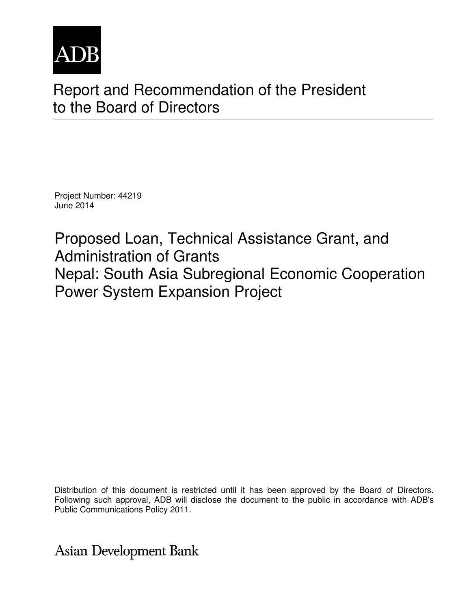

# Report and Recommendation of the President to the Board of Directors

Project Number: 44219 June 2014

Proposed Loan, Technical Assistance Grant, and Administration of Grants Nepal: South Asia Subregional Economic Cooperation Power System Expansion Project

Distribution of this document is restricted until it has been approved by the Board of Directors. Following such approval, ADB will disclose the document to the public in accordance with ADB's Public Communications Policy 2011.

**Asian Development Bank**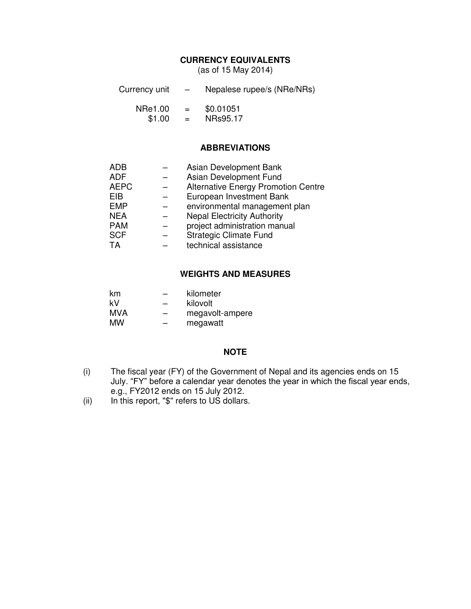## **CURRENCY EQUIVALENTS**

(as of 15 May 2014)

- Currency unit Nepalese rupee/s (NRe/NRs) NRe1.00 = \$0.01051<br>\$1.00 = NRs95.17
	- $$1.00 =$

## **ABBREVIATIONS**

| ADB         | Asian Development Bank                     |
|-------------|--------------------------------------------|
| <b>ADF</b>  | Asian Development Fund                     |
| <b>AEPC</b> | <b>Alternative Energy Promotion Centre</b> |
| EIB         | European Investment Bank                   |
| <b>EMP</b>  | environmental management plan              |
| <b>NEA</b>  | <b>Nepal Electricity Authority</b>         |
| <b>PAM</b>  | project administration manual              |
| <b>SCF</b>  | <b>Strategic Climate Fund</b>              |
| <b>TA</b>   | technical assistance                       |
|             |                                            |

#### **WEIGHTS AND MEASURES**

| km.        |   | kilometer       |
|------------|---|-----------------|
| kV         | - | kilovolt        |
| <b>MVA</b> |   | megavolt-ampere |
| МW         | - | megawatt        |

## **NOTE**

- (i) The fiscal year (FY) of the Government of Nepal and its agencies ends on 15 July. "FY" before a calendar year denotes the year in which the fiscal year ends, e.g., FY2012 ends on 15 July 2012.
- (ii) In this report, "\$" refers to US dollars.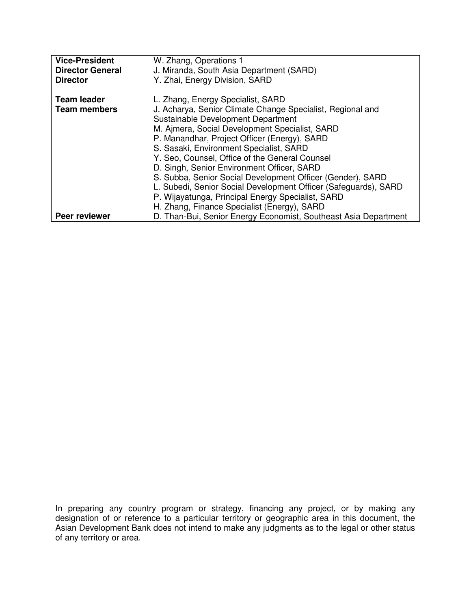| <b>Vice-President</b>                     | W. Zhang, Operations 1                                                                                                                                                                                                                                                                                                                                                                                                                           |
|-------------------------------------------|--------------------------------------------------------------------------------------------------------------------------------------------------------------------------------------------------------------------------------------------------------------------------------------------------------------------------------------------------------------------------------------------------------------------------------------------------|
| <b>Director General</b>                   | J. Miranda, South Asia Department (SARD)                                                                                                                                                                                                                                                                                                                                                                                                         |
| <b>Director</b>                           | Y. Zhai, Energy Division, SARD                                                                                                                                                                                                                                                                                                                                                                                                                   |
| <b>Team leader</b><br><b>Team members</b> | L. Zhang, Energy Specialist, SARD<br>J. Acharya, Senior Climate Change Specialist, Regional and<br>Sustainable Development Department<br>M. Ajmera, Social Development Specialist, SARD<br>P. Manandhar, Project Officer (Energy), SARD<br>S. Sasaki, Environment Specialist, SARD<br>Y. Seo, Counsel, Office of the General Counsel<br>D. Singh, Senior Environment Officer, SARD<br>S. Subba, Senior Social Development Officer (Gender), SARD |
|                                           | L. Subedi, Senior Social Development Officer (Safeguards), SARD                                                                                                                                                                                                                                                                                                                                                                                  |
|                                           | P. Wijayatunga, Principal Energy Specialist, SARD                                                                                                                                                                                                                                                                                                                                                                                                |
|                                           | H. Zhang, Finance Specialist (Energy), SARD                                                                                                                                                                                                                                                                                                                                                                                                      |
| Peer reviewer                             | D. Than-Bui, Senior Energy Economist, Southeast Asia Department                                                                                                                                                                                                                                                                                                                                                                                  |

In preparing any country program or strategy, financing any project, or by making any designation of or reference to a particular territory or geographic area in this document, the Asian Development Bank does not intend to make any judgments as to the legal or other status of any territory or area.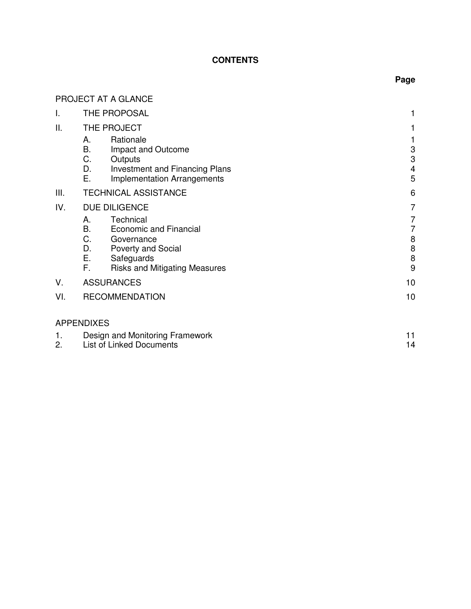# **CONTENTS**

# PROJECT AT A GLANCE

| I.       | THE PROPOSAL                                                                                                                                                                    |                               |  |
|----------|---------------------------------------------------------------------------------------------------------------------------------------------------------------------------------|-------------------------------|--|
| II.      | THE PROJECT                                                                                                                                                                     |                               |  |
|          | Rationale<br>А.<br>В.<br>Impact and Outcome<br>С.<br>Outputs<br>D.<br><b>Investment and Financing Plans</b><br>Е.<br><b>Implementation Arrangements</b>                         | 3<br>3<br>$\overline{4}$<br>5 |  |
| Ш.       | <b>TECHNICAL ASSISTANCE</b>                                                                                                                                                     | 6                             |  |
| IV.      | <b>DUE DILIGENCE</b>                                                                                                                                                            | 7                             |  |
|          | Technical<br>А.<br>В.<br><b>Economic and Financial</b><br>C.<br>Governance<br>D.<br><b>Poverty and Social</b><br>E.<br>Safeguards<br>F.<br><b>Risks and Mitigating Measures</b> | 7<br>7<br>8<br>8<br>8<br>9    |  |
| V.       | <b>ASSURANCES</b>                                                                                                                                                               | 10                            |  |
| VI.      | <b>RECOMMENDATION</b>                                                                                                                                                           | 10                            |  |
|          | <b>APPENDIXES</b>                                                                                                                                                               |                               |  |
| 1.<br>2. | Design and Monitoring Framework<br><b>List of Linked Documents</b>                                                                                                              | 11<br>14                      |  |

# **Page**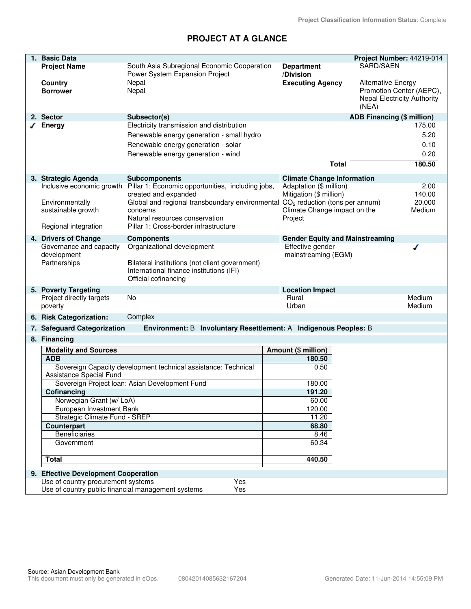# **PROJECT AT A GLANCE**

| 1. Basic Data                                                                              |                                                                                                                                                                                                                     |                                                                                                                                   |                                        | Project Number: 44219-014                                      |
|--------------------------------------------------------------------------------------------|---------------------------------------------------------------------------------------------------------------------------------------------------------------------------------------------------------------------|-----------------------------------------------------------------------------------------------------------------------------------|----------------------------------------|----------------------------------------------------------------|
| <b>Project Name</b>                                                                        | South Asia Subregional Economic Cooperation<br>Power System Expansion Project                                                                                                                                       | <b>Department</b><br>/Division                                                                                                    | SARD/SAEN                              |                                                                |
| Country<br><b>Borrower</b>                                                                 | Nepal<br>Nepal                                                                                                                                                                                                      | <b>Executing Agency</b>                                                                                                           | <b>Alternative Energy</b><br>(NEA)     | Promotion Center (AEPC),<br><b>Nepal Electricity Authority</b> |
| 2. Sector                                                                                  | Subsector(s)                                                                                                                                                                                                        |                                                                                                                                   | <b>ADB Financing (\$ million)</b>      |                                                                |
| <b>Energy</b>                                                                              | Electricity transmission and distribution<br>Renewable energy generation - small hydro<br>Renewable energy generation - solar<br>Renewable energy generation - wind                                                 |                                                                                                                                   | <b>Total</b>                           | 175.00<br>5.20<br>0.10<br>0.20<br>180.50                       |
| 3. Strategic Agenda                                                                        | <b>Subcomponents</b>                                                                                                                                                                                                | <b>Climate Change Information</b>                                                                                                 |                                        |                                                                |
| Inclusive economic growth<br>Environmentally<br>sustainable growth<br>Regional integration | Pillar 1: Economic opportunities, including jobs,<br>created and expanded<br>Global and regional transboundary environmental<br>concerns<br>Natural resources conservation<br>Pillar 1: Cross-border infrastructure | Adaptation (\$ million)<br>Mitigation (\$ million)<br>$CO2$ reduction (tons per annum)<br>Climate Change impact on the<br>Project |                                        | 2.00<br>140.00<br>20,000<br>Medium                             |
| 4. Drivers of Change                                                                       | <b>Components</b>                                                                                                                                                                                                   |                                                                                                                                   | <b>Gender Equity and Mainstreaming</b> |                                                                |
| Governance and capacity<br>development<br>Partnerships                                     | Organizational development<br>Bilateral institutions (not client government)<br>International finance institutions (IFI)<br>Official cofinancing                                                                    | Effective gender<br>mainstreaming (EGM)                                                                                           |                                        | ℐ                                                              |
| 5. Poverty Targeting                                                                       |                                                                                                                                                                                                                     | <b>Location Impact</b>                                                                                                            |                                        |                                                                |
| Project directly targets<br>poverty                                                        | No                                                                                                                                                                                                                  | Rural<br>Urban                                                                                                                    |                                        | Medium<br>Medium                                               |
| 6. Risk Categorization:                                                                    | Complex                                                                                                                                                                                                             |                                                                                                                                   |                                        |                                                                |
| 7. Safeguard Categorization                                                                | Environment: B Involuntary Resettlement: A Indigenous Peoples: B                                                                                                                                                    |                                                                                                                                   |                                        |                                                                |
| 8. Financing                                                                               |                                                                                                                                                                                                                     |                                                                                                                                   |                                        |                                                                |
| <b>Modality and Sources</b>                                                                |                                                                                                                                                                                                                     | Amount (\$ million)                                                                                                               |                                        |                                                                |
| <b>ADB</b>                                                                                 |                                                                                                                                                                                                                     | 180.50                                                                                                                            |                                        |                                                                |
| Assistance Special Fund                                                                    | Sovereign Capacity development technical assistance: Technical                                                                                                                                                      | 0.50                                                                                                                              |                                        |                                                                |
|                                                                                            | Sovereign Project Ioan: Asian Development Fund                                                                                                                                                                      | 180.00<br>191.20                                                                                                                  |                                        |                                                                |
| Cofinancing<br>Norwegian Grant (w/ LoA)                                                    |                                                                                                                                                                                                                     | 60.00                                                                                                                             |                                        |                                                                |
| European Investment Bank                                                                   |                                                                                                                                                                                                                     | 120.00                                                                                                                            |                                        |                                                                |
| Strategic Climate Fund - SREP                                                              |                                                                                                                                                                                                                     | 11.20                                                                                                                             |                                        |                                                                |
| Counterpart                                                                                |                                                                                                                                                                                                                     | 68.80                                                                                                                             |                                        |                                                                |
| <b>Beneficiaries</b>                                                                       |                                                                                                                                                                                                                     | 8.46                                                                                                                              |                                        |                                                                |
| Government                                                                                 |                                                                                                                                                                                                                     | 60.34                                                                                                                             |                                        |                                                                |
| <b>Total</b>                                                                               |                                                                                                                                                                                                                     | 440.50                                                                                                                            |                                        |                                                                |
| 9. Effective Development Cooperation                                                       |                                                                                                                                                                                                                     |                                                                                                                                   |                                        |                                                                |
| Use of country procurement systems                                                         | Yes                                                                                                                                                                                                                 |                                                                                                                                   |                                        |                                                                |
| Use of country public financial management systems                                         | Yes                                                                                                                                                                                                                 |                                                                                                                                   |                                        |                                                                |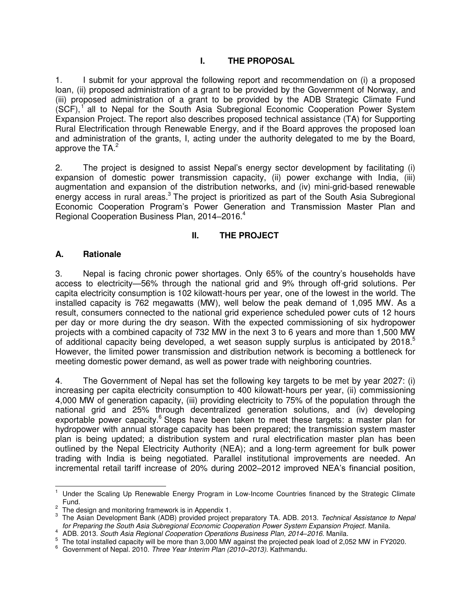## **I. THE PROPOSAL**

1. I submit for your approval the following report and recommendation on (i) a proposed loan, (ii) proposed administration of a grant to be provided by the Government of Norway, and (iii) proposed administration of a grant to be provided by the ADB Strategic Climate Fund  $(SCF)$ , all to Nepal for the South Asia Subregional Economic Cooperation Power System Expansion Project. The report also describes proposed technical assistance (TA) for Supporting Rural Electrification through Renewable Energy, and if the Board approves the proposed loan and administration of the grants, I, acting under the authority delegated to me by the Board, approve the TA. $2$ 

2. The project is designed to assist Nepal's energy sector development by facilitating (i) expansion of domestic power transmission capacity, (ii) power exchange with India, (iii) augmentation and expansion of the distribution networks, and (iv) mini-grid-based renewable energy access in rural areas.<sup>3</sup> The project is prioritized as part of the South Asia Subregional Economic Cooperation Program's Power Generation and Transmission Master Plan and Regional Cooperation Business Plan, 2014–2016.<sup>4</sup>

## **II. THE PROJECT**

## **A. Rationale**

3. Nepal is facing chronic power shortages. Only 65% of the country's households have access to electricity—56% through the national grid and 9% through off-grid solutions. Per capita electricity consumption is 102 kilowatt-hours per year, one of the lowest in the world. The installed capacity is 762 megawatts (MW), well below the peak demand of 1,095 MW. As a result, consumers connected to the national grid experience scheduled power cuts of 12 hours per day or more during the dry season. With the expected commissioning of six hydropower projects with a combined capacity of 732 MW in the next 3 to 6 years and more than 1,500 MW of additional capacity being developed, a wet season supply surplus is anticipated by  $2018<sup>5</sup>$ However, the limited power transmission and distribution network is becoming a bottleneck for meeting domestic power demand, as well as power trade with neighboring countries.

4. The Government of Nepal has set the following key targets to be met by year 2027: (i) increasing per capita electricity consumption to 400 kilowatt-hours per year, (ii) commissioning 4,000 MW of generation capacity, (iii) providing electricity to 75% of the population through the national grid and 25% through decentralized generation solutions, and (iv) developing exportable power capacity.<sup>6</sup> Steps have been taken to meet these targets: a master plan for hydropower with annual storage capacity has been prepared; the transmission system master plan is being updated; a distribution system and rural electrification master plan has been outlined by the Nepal Electricity Authority (NEA); and a long-term agreement for bulk power trading with India is being negotiated. Parallel institutional improvements are needed. An incremental retail tariff increase of 20% during 2002–2012 improved NEA's financial position,

 1 Under the Scaling Up Renewable Energy Program in Low-Income Countries financed by the Strategic Climate Fund.

 $2<sup>2</sup>$  The design and monitoring framework is in Appendix 1.

<sup>3</sup> The Asian Development Bank (ADB) provided project preparatory TA. ADB. 2013. *Technical Assistance to Nepal for Preparing the South Asia Subregional Economic Cooperation Power System Expansion Project*. Manila.

<sup>4</sup> ADB. 2013. *South Asia Regional Cooperation Operations Business Plan, 2014–2016*. Manila.

 $5$  The total installed capacity will be more than 3,000 MW against the projected peak load of 2,052 MW in FY2020.

<sup>6</sup> Government of Nepal. 2010. *Three Year Interim Plan (2010–2013).* Kathmandu.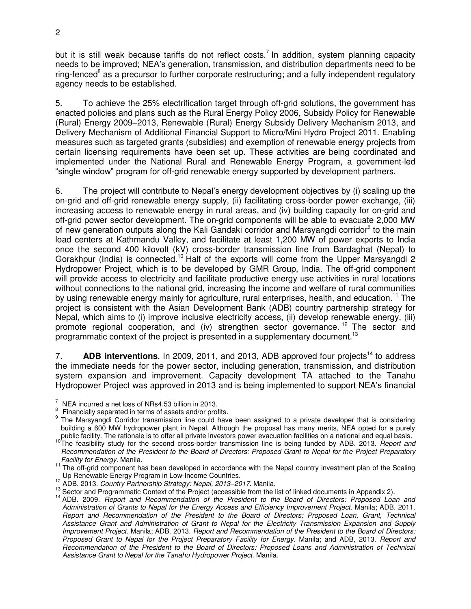but it is still weak because tariffs do not reflect costs.<sup>7</sup> In addition, system planning capacity needs to be improved; NEA's generation, transmission, and distribution departments need to be ring-fenced<sup>8</sup> as a precursor to further corporate restructuring; and a fully independent regulatory agency needs to be established.

5. To achieve the 25% electrification target through off-grid solutions, the government has enacted policies and plans such as the Rural Energy Policy 2006, Subsidy Policy for Renewable (Rural) Energy 2009–2013, Renewable (Rural) Energy Subsidy Delivery Mechanism 2013, and Delivery Mechanism of Additional Financial Support to Micro/Mini Hydro Project 2011. Enabling measures such as targeted grants (subsidies) and exemption of renewable energy projects from certain licensing requirements have been set up. These activities are being coordinated and implemented under the National Rural and Renewable Energy Program, a government-led "single window" program for off-grid renewable energy supported by development partners.

6. The project will contribute to Nepal's energy development objectives by (i) scaling up the on-grid and off-grid renewable energy supply, (ii) facilitating cross-border power exchange, (iii) increasing access to renewable energy in rural areas, and (iv) building capacity for on-grid and off-grid power sector development. The on-grid components will be able to evacuate 2,000 MW of new generation outputs along the Kali Gandaki corridor and Marsyangdi corridor<sup>9</sup> to the main load centers at Kathmandu Valley, and facilitate at least 1,200 MW of power exports to India once the second 400 kilovolt (kV) cross-border transmission line from Bardaghat (Nepal) to Gorakhpur (India) is connected.<sup>10</sup> Half of the exports will come from the Upper Marsyangdi 2 Hydropower Project, which is to be developed by GMR Group, India. The off-grid component will provide access to electricity and facilitate productive energy use activities in rural locations without connections to the national grid, increasing the income and welfare of rural communities by using renewable energy mainly for agriculture, rural enterprises, health, and education.<sup>11</sup> The project is consistent with the Asian Development Bank (ADB) country partnership strategy for Nepal, which aims to (i) improve inclusive electricity access, (ii) develop renewable energy, (iii) promote regional cooperation, and (iv) strengthen sector governance.<sup>12</sup> The sector and programmatic context of the project is presented in a supplementary document.<sup>13</sup>

7. **ADB interventions**. In 2009, 2011, and 2013, ADB approved four projects<sup>14</sup> to address the immediate needs for the power sector, including generation, transmission, and distribution system expansion and improvement. Capacity development TA attached to the Tanahu Hydropower Project was approved in 2013 and is being implemented to support NEA's financial

 $\overline{a}$ 

<sup>7</sup> NEA incurred a net loss of NRs4.53 billion in 2013.

<sup>8</sup> Financially separated in terms of assets and/or profits.

<sup>&</sup>lt;sup>9</sup> The Marsyangdi Corridor transmission line could have been assigned to a private developer that is considering building a 600 MW hydropower plant in Nepal. Although the proposal has many merits, NEA opted for a purely

public facility. The rationale is to offer all private investors power evacuation facilities on a national and equal basis.<br><sup>10</sup>The feasibility study for the second cross-border transmission line is being funded by ADB. 20 *Recommendation of the President to the Board of Directors: Proposed Grant to Nepal for the Project Preparatory Facility for Energy*. Manila.

<sup>&</sup>lt;sup>11</sup> The off-grid component has been developed in accordance with the Nepal country investment plan of the Scaling Up Renewable Energy Program in Low-Income Countries.

<sup>12</sup> ADB. 2013. *Country Partnership Strategy: Nepal, 2013–2017*. Manila.

 $13$  Sector and Programmatic Context of the Project (accessible from the list of linked documents in Appendix 2).

<sup>14</sup> ADB. 2009. *Report and Recommendation of the President to the Board of Directors: Proposed Loan and Administration of Grants to Nepal for the Energy Access and Efficiency Improvement Project*. Manila; ADB. 2011. *Report and Recommendation of the President to the Board of Directors: Proposed Loan, Grant, Technical Assistance Grant and Administration of Grant to Nepal for the Electricity Transmission Expansion and Supply Improvement Project*. Manila; ADB. 2013. *Report and Recommendation of the President to the Board of Directors: Proposed Grant to Nepal for the Project Preparatory Facility for Energy*. Manila; and ADB, 2013. *Report and Recommendation of the President to the Board of Directors: Proposed Loans and Administration of Technical Assistance Grant to Nepal for the Tanahu Hydropower Project*. Manila.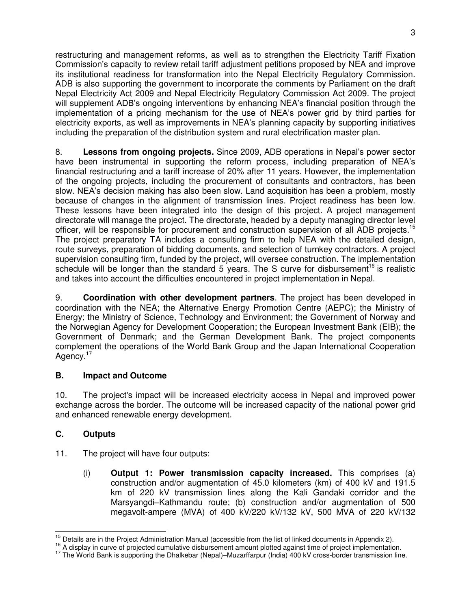restructuring and management reforms, as well as to strengthen the Electricity Tariff Fixation Commission's capacity to review retail tariff adjustment petitions proposed by NEA and improve its institutional readiness for transformation into the Nepal Electricity Regulatory Commission. ADB is also supporting the government to incorporate the comments by Parliament on the draft Nepal Electricity Act 2009 and Nepal Electricity Regulatory Commission Act 2009. The project will supplement ADB's ongoing interventions by enhancing NEA's financial position through the implementation of a pricing mechanism for the use of NEA's power grid by third parties for electricity exports, as well as improvements in NEA's planning capacity by supporting initiatives including the preparation of the distribution system and rural electrification master plan.

8. **Lessons from ongoing projects.** Since 2009, ADB operations in Nepal's power sector have been instrumental in supporting the reform process, including preparation of NEA's financial restructuring and a tariff increase of 20% after 11 years. However, the implementation of the ongoing projects, including the procurement of consultants and contractors, has been slow. NEA's decision making has also been slow. Land acquisition has been a problem, mostly because of changes in the alignment of transmission lines. Project readiness has been low. These lessons have been integrated into the design of this project. A project management directorate will manage the project. The directorate, headed by a deputy managing director level officer, will be responsible for procurement and construction supervision of all ADB projects.<sup>15</sup> The project preparatory TA includes a consulting firm to help NEA with the detailed design, route surveys, preparation of bidding documents, and selection of turnkey contractors. A project supervision consulting firm, funded by the project, will oversee construction. The implementation schedule will be longer than the standard  $5$  years. The S curve for disbursement<sup>16</sup> is realistic and takes into account the difficulties encountered in project implementation in Nepal.

9. **Coordination with other development partners**. The project has been developed in coordination with the NEA; the Alternative Energy Promotion Centre (AEPC); the Ministry of Energy; the Ministry of Science, Technology and Environment; the Government of Norway and the Norwegian Agency for Development Cooperation; the European Investment Bank (EIB); the Government of Denmark; and the German Development Bank. The project components complement the operations of the World Bank Group and the Japan International Cooperation Agency.<sup>17</sup>

# **B. Impact and Outcome**

10. The project's impact will be increased electricity access in Nepal and improved power exchange across the border. The outcome will be increased capacity of the national power grid and enhanced renewable energy development.

# **C. Outputs**

- 11. The project will have four outputs:
	- (i) **Output 1: Power transmission capacity increased.** This comprises (a) construction and/or augmentation of 45.0 kilometers (km) of 400 kV and 191.5 km of 220 kV transmission lines along the Kali Gandaki corridor and the Marsyangdi–Kathmandu route; (b) construction and/or augmentation of 500 megavolt-ampere (MVA) of 400 kV/220 kV/132 kV, 500 MVA of 220 kV/132

 $\overline{a}$  $15$  Details are in the Project Administration Manual (accessible from the list of linked documents in Appendix 2).

<sup>&</sup>lt;sup>16</sup> A display in curve of projected cumulative disbursement amount plotted against time of project implementation.

<sup>17</sup> The World Bank is supporting the Dhalkebar (Nepal)–Muzarffarpur (India) 400 kV cross-border transmission line.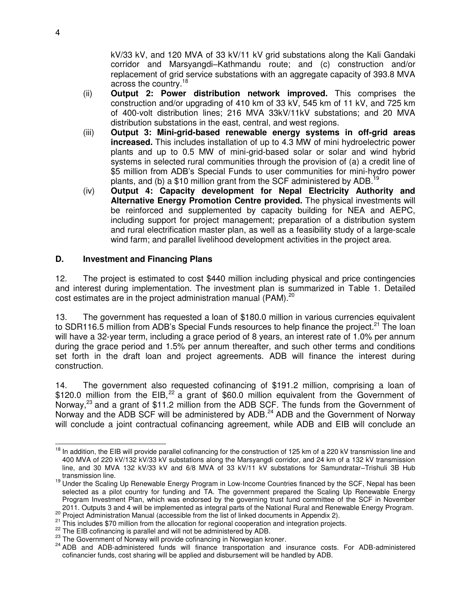kV/33 kV, and 120 MVA of 33 kV/11 kV grid substations along the Kali Gandaki corridor and Marsyangdi–Kathmandu route; and (c) construction and/or replacement of grid service substations with an aggregate capacity of 393.8 MVA across the country.<sup>18</sup>

- (ii) **Output 2: Power distribution network improved.** This comprises the construction and/or upgrading of 410 km of 33 kV, 545 km of 11 kV, and 725 km of 400-volt distribution lines; 216 MVA 33kV/11kV substations; and 20 MVA distribution substations in the east, central, and west regions.
- (iii) **Output 3: Mini-grid-based renewable energy systems in off-grid areas increased.** This includes installation of up to 4.3 MW of mini hydroelectric power plants and up to 0.5 MW of mini-grid-based solar or solar and wind hybrid systems in selected rural communities through the provision of (a) a credit line of \$5 million from ADB's Special Funds to user communities for mini-hydro power plants, and (b) a \$10 million grant from the SCF administered by ADB.<sup>19</sup>
- (iv) **Output 4: Capacity development for Nepal Electricity Authority and Alternative Energy Promotion Centre provided.** The physical investments will be reinforced and supplemented by capacity building for NEA and AEPC, including support for project management; preparation of a distribution system and rural electrification master plan, as well as a feasibility study of a large-scale wind farm; and parallel livelihood development activities in the project area.

## **D. Investment and Financing Plans**

12. The project is estimated to cost \$440 million including physical and price contingencies and interest during implementation. The investment plan is summarized in Table 1. Detailed cost estimates are in the project administration manual (PAM). $^{20}$ 

13. The government has requested a loan of \$180.0 million in various currencies equivalent to SDR116.5 million from ADB's Special Funds resources to help finance the project.<sup>21</sup> The loan will have a 32-year term, including a grace period of 8 years, an interest rate of 1.0% per annum during the grace period and 1.5% per annum thereafter, and such other terms and conditions set forth in the draft loan and project agreements. ADB will finance the interest during construction.

14. The government also requested cofinancing of \$191.2 million, comprising a loan of \$120.0 million from the EIB, $^{22}$  a grant of \$60.0 million equivalent from the Government of Norway,<sup>23</sup> and a grant of \$11.2 million from the ADB SCF. The funds from the Government of Norway and the ADB SCF will be administered by ADB.<sup>24</sup> ADB and the Government of Norway will conclude a joint contractual cofinancing agreement, while ADB and EIB will conclude an

j <sup>18</sup> In addition, the EIB will provide parallel cofinancing for the construction of 125 km of a 220 kV transmission line and 400 MVA of 220 kV/132 kV/33 kV substations along the Marsyangdi corridor, and 24 km of a 132 kV transmission line, and 30 MVA 132 kV/33 kV and 6/8 MVA of 33 kV/11 kV substations for Samundratar–Trishuli 3B Hub transmission line.

<sup>19</sup> Under the Scaling Up Renewable Energy Program in Low-Income Countries financed by the SCF, Nepal has been selected as a pilot country for funding and TA. The government prepared the Scaling Up Renewable Energy Program Investment Plan, which was endorsed by the governing trust fund committee of the SCF in November 2011. Outputs 3 and 4 will be implemented as integral parts of the National Rural and Renewable Energy Program.

<sup>20</sup> Project Administration Manual (accessible from the list of linked documents in Appendix 2).

<sup>&</sup>lt;sup>21</sup> This includes \$70 million from the allocation for regional cooperation and integration projects.

<sup>&</sup>lt;sup>22</sup> The EIB cofinancing is parallel and will not be administered by ADB.

<sup>&</sup>lt;sup>23</sup> The Government of Norway will provide cofinancing in Norwegian kroner.

<sup>&</sup>lt;sup>24</sup> ADB and ADB-administered funds will finance transportation and insurance costs. For ADB-administered cofinancier funds, cost sharing will be applied and disbursement will be handled by ADB.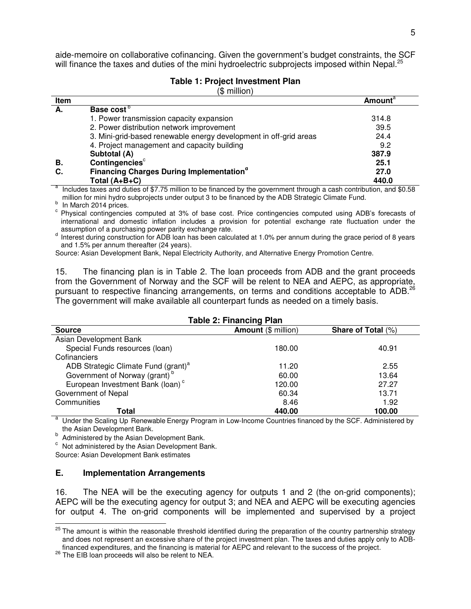aide-memoire on collaborative cofinancing. Given the government's budget constraints, the SCF will finance the taxes and duties of the mini hydroelectric subprojects imposed within Nepal.<sup>25</sup>

#### **Table 1: Project Investment Plan**

(\$ million)

| Item |                                                                   | Amount <sup>a</sup> |
|------|-------------------------------------------------------------------|---------------------|
| А.   | Base cost <sup>o</sup>                                            |                     |
|      | 1. Power transmission capacity expansion                          | 314.8               |
|      | 2. Power distribution network improvement                         | 39.5                |
|      | 3. Mini-grid-based renewable energy development in off-grid areas | 24.4                |
|      | 4. Project management and capacity building                       | 9.2                 |
|      | Subtotal (A)                                                      | 387.9               |
| В.   | Contingencies <sup>c</sup>                                        | 25.1                |
| C.   | <b>Financing Charges During Implementation</b> <sup>°</sup>       | 27.0                |
|      | Total $(A+B+C)$                                                   | 440.0               |

a Includes taxes and duties of \$7.75 million to be financed by the government through a cash contribution, and \$0.58 million for mini hydro subprojects under output 3 to be financed by the ADB Strategic Climate Fund.

b In March 2014 prices.

<sup>c</sup> Physical contingencies computed at 3% of base cost. Price contingencies computed using ADB's forecasts of international and domestic inflation includes a provision for potential exchange rate fluctuation under the

assumption of a purchasing power parity exchange rate.<br><sup>d</sup> Interest during construction for ADB loan has been calculated at 1.0% per annum during the grace period of 8 years and 1.5% per annum thereafter (24 years).

Source: Asian Development Bank, Nepal Electricity Authority, and Alternative Energy Promotion Centre.

15. The financing plan is in Table 2. The loan proceeds from ADB and the grant proceeds from the Government of Norway and the SCF will be relent to NEA and AEPC, as appropriate, pursuant to respective financing arrangements, on terms and conditions acceptable to ADB.<sup>26</sup> The government will make available all counterpart funds as needed on a timely basis.

| <b>Table 2: Financing Plan</b>                                                               |        |       |  |  |  |
|----------------------------------------------------------------------------------------------|--------|-------|--|--|--|
| Amount (\$ million)<br>Share of Total (%)<br><b>Source</b>                                   |        |       |  |  |  |
| Asian Development Bank                                                                       |        |       |  |  |  |
| Special Funds resources (Ioan)                                                               | 180.00 | 40.91 |  |  |  |
| Cofinanciers                                                                                 |        |       |  |  |  |
| ADB Strategic Climate Fund (grant) <sup>a</sup><br>Government of Norway (grant) <sup>b</sup> | 11.20  | 2.55  |  |  |  |
|                                                                                              | 60.00  | 13.64 |  |  |  |
| European Investment Bank (Ioan) <sup>c</sup>                                                 | 120.00 | 27.27 |  |  |  |
| Government of Nepal                                                                          | 60.34  | 13.71 |  |  |  |
| Communities                                                                                  | 8.46   | 1.92  |  |  |  |
| 440.00<br>100.00<br>Total                                                                    |        |       |  |  |  |

<sup>a</sup> Under the Scaling Up Renewable Energy Program in Low-Income Countries financed by the SCF. Administered by the Asian Development Bank.

b<br>Administered by the Asian Development Bank.

 $\degree$  Not administered by the Asian Development Bank.

Source: Asian Development Bank estimates

 $\overline{a}$ 

#### **E. Implementation Arrangements**

16. The NEA will be the executing agency for outputs 1 and 2 (the on-grid components); AEPC will be the executing agency for output 3; and NEA and AEPC will be executing agencies for output 4. The on-grid components will be implemented and supervised by a project

<sup>&</sup>lt;sup>25</sup> The amount is within the reasonable threshold identified during the preparation of the country partnership strategy and does not represent an excessive share of the project investment plan. The taxes and duties apply only to ADBfinanced expenditures, and the financing is material for AEPC and relevant to the success of the project.

<sup>&</sup>lt;sup>26</sup> The EIB loan proceeds will also be relent to NEA.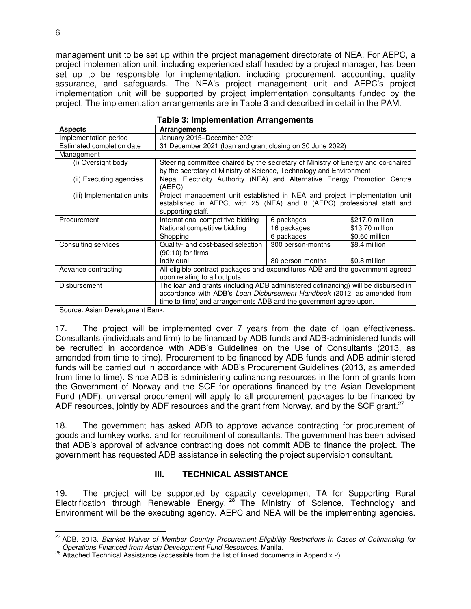management unit to be set up within the project management directorate of NEA. For AEPC, a project implementation unit, including experienced staff headed by a project manager, has been set up to be responsible for implementation, including procurement, accounting, quality assurance, and safeguards. The NEA's project management unit and AEPC's project implementation unit will be supported by project implementation consultants funded by the project. The implementation arrangements are in Table 3 and described in detail in the PAM.

| <b>Aspects</b>             | Arrangements                                                                                                                                                                                                                      |                   |                 |
|----------------------------|-----------------------------------------------------------------------------------------------------------------------------------------------------------------------------------------------------------------------------------|-------------------|-----------------|
| Implementation period      | January 2015-December 2021                                                                                                                                                                                                        |                   |                 |
| Estimated completion date  | 31 December 2021 (loan and grant closing on 30 June 2022)                                                                                                                                                                         |                   |                 |
| Management                 |                                                                                                                                                                                                                                   |                   |                 |
| (i) Oversight body         | Steering committee chaired by the secretary of Ministry of Energy and co-chaired<br>by the secretary of Ministry of Science, Technology and Environment                                                                           |                   |                 |
| (ii) Executing agencies    | Nepal Electricity Authority (NEA) and Alternative Energy Promotion Centre<br>(AEPC)                                                                                                                                               |                   |                 |
| (iii) Implementation units | Project management unit established in NEA and project implementation unit<br>established in AEPC, with 25 (NEA) and 8 (AEPC) professional staff and<br>supporting staff.                                                         |                   |                 |
| Procurement                | International competitive bidding                                                                                                                                                                                                 | 6 packages        | \$217.0 million |
|                            | National competitive bidding                                                                                                                                                                                                      | 16 packages       | \$13.70 million |
|                            | Shopping                                                                                                                                                                                                                          | 6 packages        | \$0.60 million  |
| Consulting services        | Quality- and cost-based selection<br>(90:10) for firms                                                                                                                                                                            | 300 person-months | \$8.4 million   |
|                            | Individual                                                                                                                                                                                                                        | 80 person-months  | \$0.8 million   |
| Advance contracting        | All eligible contract packages and expenditures ADB and the government agreed<br>upon relating to all outputs                                                                                                                     |                   |                 |
| Disbursement               | The loan and grants (including ADB administered cofinancing) will be disbursed in<br>accordance with ADB's Loan Disbursement Handbook (2012, as amended from<br>time to time) and arrangements ADB and the government agree upon. |                   |                 |

Source: Asian Development Bank.

17. The project will be implemented over 7 years from the date of loan effectiveness. Consultants (individuals and firm) to be financed by ADB funds and ADB-administered funds will be recruited in accordance with ADB's Guidelines on the Use of Consultants (2013, as amended from time to time). Procurement to be financed by ADB funds and ADB-administered funds will be carried out in accordance with ADB's Procurement Guidelines (2013, as amended from time to time). Since ADB is administering cofinancing resources in the form of grants from the Government of Norway and the SCF for operations financed by the Asian Development Fund (ADF), universal procurement will apply to all procurement packages to be financed by ADF resources, jointly by ADF resources and the grant from Norway, and by the SCF grant.<sup>27</sup>

18. The government has asked ADB to approve advance contracting for procurement of goods and turnkey works, and for recruitment of consultants. The government has been advised that ADB's approval of advance contracting does not commit ADB to finance the project. The government has requested ADB assistance in selecting the project supervision consultant.

## **III. TECHNICAL ASSISTANCE**

19. The project will be supported by capacity development TA for Supporting Rural Electrification through Renewable Energy. <sup>28</sup> The Ministry of Science, Technology and Environment will be the executing agency. AEPC and NEA will be the implementing agencies.

 $\overline{a}$ <sup>27</sup> ADB. 2013. *Blanket Waiver of Member Country Procurement Eligibility Restrictions in Cases of Cofinancing for Operations Financed from Asian Development Fund Resources.* Manila.

<sup>28</sup> Attached Technical Assistance (accessible from the list of linked documents in Appendix 2).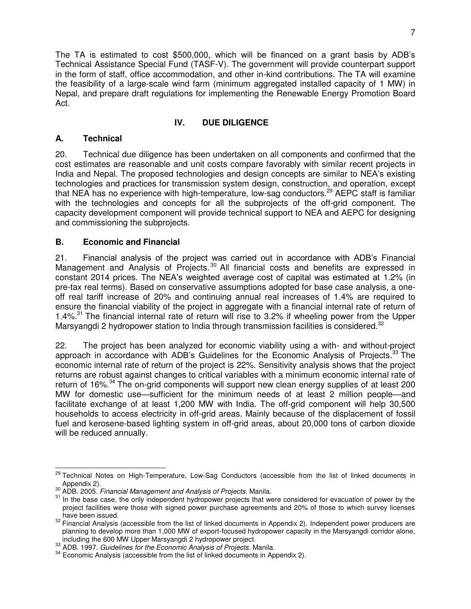The TA is estimated to cost \$500,000, which will be financed on a grant basis by ADB's Technical Assistance Special Fund (TASF-V). The government will provide counterpart support in the form of staff, office accommodation, and other in-kind contributions. The TA will examine the feasibility of a large-scale wind farm (minimum aggregated installed capacity of 1 MW) in Nepal, and prepare draft regulations for implementing the Renewable Energy Promotion Board Act.

# **IV. DUE DILIGENCE**

## **A. Technical**

20. Technical due diligence has been undertaken on all components and confirmed that the cost estimates are reasonable and unit costs compare favorably with similar recent projects in India and Nepal. The proposed technologies and design concepts are similar to NEA's existing technologies and practices for transmission system design, construction, and operation, except that NEA has no experience with high-temperature, low-sag conductors.<sup>29</sup> AEPC staff is familiar with the technologies and concepts for all the subprojects of the off-grid component. The capacity development component will provide technical support to NEA and AEPC for designing and commissioning the subprojects.

## **B. Economic and Financial**

21. Financial analysis of the project was carried out in accordance with ADB's Financial Management and Analysis of Projects.<sup>30</sup> All financial costs and benefits are expressed in constant 2014 prices. The NEA's weighted average cost of capital was estimated at 1.2% (in pre-tax real terms). Based on conservative assumptions adopted for base case analysis, a oneoff real tariff increase of 20% and continuing annual real increases of 1.4% are required to ensure the financial viability of the project in aggregate with a financial internal rate of return of 1.4%.<sup>31</sup> The financial internal rate of return will rise to 3.2% if wheeling power from the Upper Marsyangdi 2 hydropower station to India through transmission facilities is considered.<sup>32</sup>

22. The project has been analyzed for economic viability using a with- and without-project approach in accordance with ADB's Guidelines for the Economic Analysis of Projects.<sup>33</sup> The economic internal rate of return of the project is 22%. Sensitivity analysis shows that the project returns are robust against changes to critical variables with a minimum economic internal rate of return of 16%<sup>34</sup> The on-grid components will support new clean energy supplies of at least 200 MW for domestic use—sufficient for the minimum needs of at least 2 million people—and facilitate exchange of at least 1,200 MW with India. The off-grid component will help 30,500 households to access electricity in off-grid areas. Mainly because of the displacement of fossil fuel and kerosene-based lighting system in off-grid areas, about 20,000 tons of carbon dioxide will be reduced annually.

j <sup>29</sup> Technical Notes on High-Temperature, Low-Sag Conductors (accessible from the list of linked documents in

Appendix 2). <sup>30</sup> ADB. 2005. *Financial Management and Analysis of Projects*. Manila.

<sup>31</sup> In the base case, the only independent hydropower projects that were considered for evacuation of power by the project facilities were those with signed power purchase agreements and 20% of those to which survey licenses have been issued.

<sup>&</sup>lt;sup>32</sup> Financial Analysis (accessible from the list of linked documents in Appendix 2). Independent power producers are planning to develop more than 1,000 MW of export-focused hydropower capacity in the Marsyangdi corridor alone, including the 600 MW Upper Marsyangdi 2 hydropower project.

<sup>33</sup> ADB. 1997. *Guidelines for the Economic Analysis of Projects*. Manila.

<sup>&</sup>lt;sup>34</sup> Economic Analysis (accessible from the list of linked documents in Appendix 2).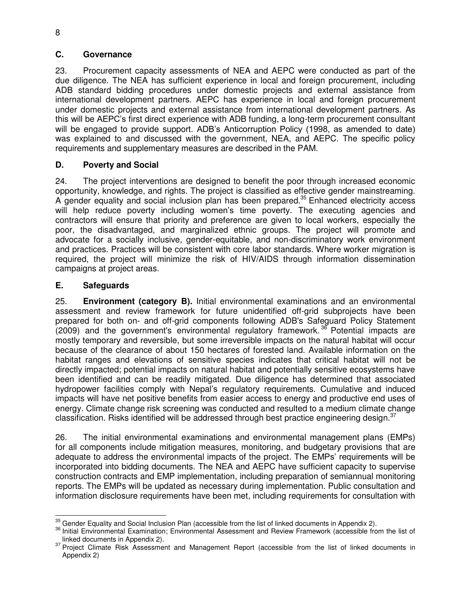### **C. Governance**

23. Procurement capacity assessments of NEA and AEPC were conducted as part of the due diligence. The NEA has sufficient experience in local and foreign procurement, including ADB standard bidding procedures under domestic projects and external assistance from international development partners. AEPC has experience in local and foreign procurement under domestic projects and external assistance from international development partners. As this will be AEPC's first direct experience with ADB funding, a long-term procurement consultant will be engaged to provide support. ADB's Anticorruption Policy (1998, as amended to date) was explained to and discussed with the government, NEA, and AEPC. The specific policy requirements and supplementary measures are described in the PAM.

## **D. Poverty and Social**

24. The project interventions are designed to benefit the poor through increased economic opportunity, knowledge, and rights. The project is classified as effective gender mainstreaming. A gender equality and social inclusion plan has been prepared.<sup>35</sup> Enhanced electricity access will help reduce poverty including women's time poverty. The executing agencies and contractors will ensure that priority and preference are given to local workers, especially the poor, the disadvantaged, and marginalized ethnic groups. The project will promote and advocate for a socially inclusive, gender-equitable, and non-discriminatory work environment and practices. Practices will be consistent with core labor standards. Where worker migration is required, the project will minimize the risk of HIV/AIDS through information dissemination campaigns at project areas.

#### **E. Safeguards**

25. **Environment (category B).** Initial environmental examinations and an environmental assessment and review framework for future unidentified off-grid subprojects have been prepared for both on- and off-grid components following ADB's Safeguard Policy Statement  $(2009)$  and the government's environmental regulatory framework.<sup>36</sup> Potential impacts are mostly temporary and reversible, but some irreversible impacts on the natural habitat will occur because of the clearance of about 150 hectares of forested land. Available information on the habitat ranges and elevations of sensitive species indicates that critical habitat will not be directly impacted; potential impacts on natural habitat and potentially sensitive ecosystems have been identified and can be readily mitigated. Due diligence has determined that associated hydropower facilities comply with Nepal's regulatory requirements. Cumulative and induced impacts will have net positive benefits from easier access to energy and productive end uses of energy. Climate change risk screening was conducted and resulted to a medium climate change classification. Risks identified will be addressed through best practice engineering design. $37$ 

26. The initial environmental examinations and environmental management plans (EMPs) for all components include mitigation measures, monitoring, and budgetary provisions that are adequate to address the environmental impacts of the project. The EMPs' requirements will be incorporated into bidding documents. The NEA and AEPC have sufficient capacity to supervise construction contracts and EMP implementation, including preparation of semiannual monitoring reports. The EMPs will be updated as necessary during implementation. Public consultation and information disclosure requirements have been met, including requirements for consultation with

 $\overline{a}$  $\frac{35}{10}$  Gender Equality and Social Inclusion Plan (accessible from the list of linked documents in Appendix 2).

<sup>&</sup>lt;sup>36</sup> Initial Environmental Examination; Environmental Assessment and Review Framework (accessible from the list of linked documents in Appendix 2).

<sup>37</sup> Project Climate Risk Assessment and Management Report (accessible from the list of linked documents in Appendix 2)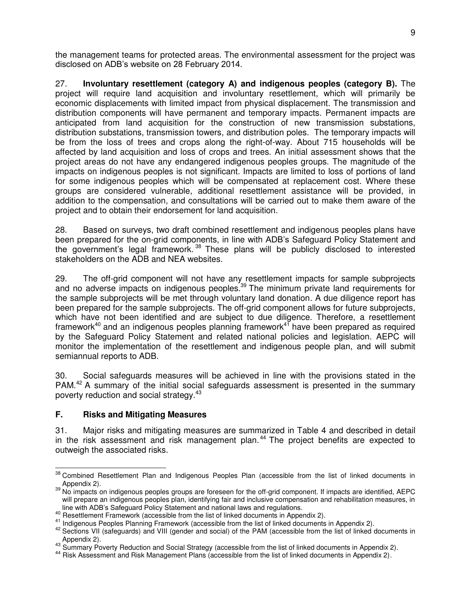the management teams for protected areas. The environmental assessment for the project was disclosed on ADB's website on 28 February 2014.

27. **Involuntary resettlement (category A) and indigenous peoples (category B).** The project will require land acquisition and involuntary resettlement, which will primarily be economic displacements with limited impact from physical displacement. The transmission and distribution components will have permanent and temporary impacts. Permanent impacts are anticipated from land acquisition for the construction of new transmission substations, distribution substations, transmission towers, and distribution poles. The temporary impacts will be from the loss of trees and crops along the right-of-way. About 715 households will be affected by land acquisition and loss of crops and trees. An initial assessment shows that the project areas do not have any endangered indigenous peoples groups. The magnitude of the impacts on indigenous peoples is not significant. Impacts are limited to loss of portions of land for some indigenous peoples which will be compensated at replacement cost. Where these groups are considered vulnerable, additional resettlement assistance will be provided, in addition to the compensation, and consultations will be carried out to make them aware of the project and to obtain their endorsement for land acquisition.

28. Based on surveys, two draft combined resettlement and indigenous peoples plans have been prepared for the on-grid components, in line with ADB's Safeguard Policy Statement and the government's legal framework. <sup>38</sup> These plans will be publicly disclosed to interested stakeholders on the ADB and NEA websites.

29. The off-grid component will not have any resettlement impacts for sample subprojects and no adverse impacts on indigenous peoples.<sup>39</sup> The minimum private land requirements for the sample subprojects will be met through voluntary land donation. A due diligence report has been prepared for the sample subprojects. The off-grid component allows for future subprojects, which have not been identified and are subject to due diligence. Therefore, a resettlement framework<sup>40</sup> and an indigenous peoples planning framework<sup>41</sup> have been prepared as required by the Safeguard Policy Statement and related national policies and legislation. AEPC will monitor the implementation of the resettlement and indigenous people plan, and will submit semiannual reports to ADB.

30. Social safeguards measures will be achieved in line with the provisions stated in the PAM.<sup>42</sup> A summary of the initial social safeguards assessment is presented in the summary poverty reduction and social strategy.<sup>43</sup>

## **F. Risks and Mitigating Measures**

31. Major risks and mitigating measures are summarized in Table 4 and described in detail in the risk assessment and risk management plan.<sup>44</sup> The project benefits are expected to outweigh the associated risks.

j <sup>38</sup> Combined Resettlement Plan and Indigenous Peoples Plan (accessible from the list of linked documents in Appendix 2).

<sup>39</sup> No impacts on indigenous peoples groups are foreseen for the off-grid component. If impacts are identified, AEPC will prepare an indigenous peoples plan, identifying fair and inclusive compensation and rehabilitation measures, in line with ADB's Safeguard Policy Statement and national laws and regulations.

<sup>&</sup>lt;sup>40</sup> Resettlement Framework (accessible from the list of linked documents in Appendix 2).

<sup>41</sup> Indigenous Peoples Planning Framework (accessible from the list of linked documents in Appendix 2).

<sup>42</sup> Sections VII (safeguards) and VIII (gender and social) of the PAM (accessible from the list of linked documents in Appendix 2).

<sup>&</sup>lt;sup>43</sup> Summary Poverty Reduction and Social Strategy (accessible from the list of linked documents in Appendix 2).

<sup>44</sup> Risk Assessment and Risk Management Plans (accessible from the list of linked documents in Appendix 2).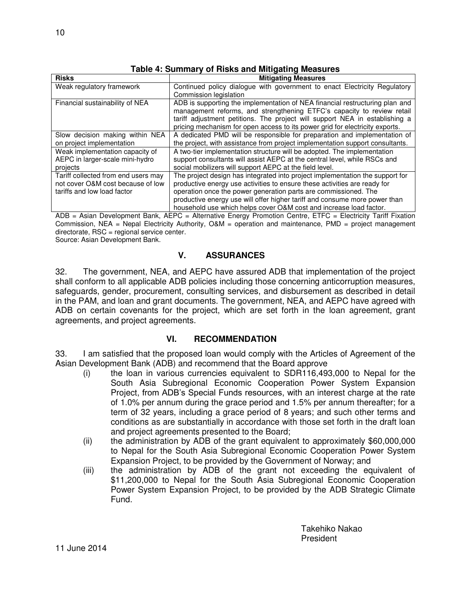| <b>Risks</b>                             | <b>Mitigating Measures</b>                                                    |
|------------------------------------------|-------------------------------------------------------------------------------|
| Weak regulatory framework                | Continued policy dialogue with government to enact Electricity Regulatory     |
|                                          | Commission legislation                                                        |
| Financial sustainability of NEA          | ADB is supporting the implementation of NEA financial restructuring plan and  |
|                                          | management reforms, and strengthening ETFC's capacity to review retail        |
|                                          | tariff adjustment petitions. The project will support NEA in establishing a   |
|                                          | pricing mechanism for open access to its power grid for electricity exports.  |
| Slow decision making within NEA          | A dedicated PMD will be responsible for preparation and implementation of     |
| on project implementation                | the project, with assistance from project implementation support consultants. |
| Weak implementation capacity of          | A two-tier implementation structure will be adopted. The implementation       |
| AEPC in larger-scale mini-hydro          | support consultants will assist AEPC at the central level, while RSCs and     |
| projects                                 | social mobilizers will support AEPC at the field level.                       |
| Tariff collected from end users may      | The project design has integrated into project implementation the support for |
| not cover O&M cost because of low        | productive energy use activities to ensure these activities are ready for     |
| tariffs and low load factor              | operation once the power generation parts are commissioned. The               |
|                                          | productive energy use will offer higher tariff and consume more power than    |
| $\cdots$ $\cdots$ $\cdots$<br>$\sqrt{2}$ | household use which helps cover O&M cost and increase load factor.<br>$5-7$   |

**Table 4: Summary of Risks and Mitigating Measures** 

ADB = Asian Development Bank, AEPC = Alternative Energy Promotion Centre, ETFC = Electricity Tariff Fixation Commission, NEA = Nepal Electricity Authority, O&M = operation and maintenance, PMD = project management directorate, RSC = regional service center.

Source: Asian Development Bank.

## **V. ASSURANCES**

32. The government, NEA, and AEPC have assured ADB that implementation of the project shall conform to all applicable ADB policies including those concerning anticorruption measures, safeguards, gender, procurement, consulting services, and disbursement as described in detail in the PAM, and loan and grant documents. The government, NEA, and AEPC have agreed with ADB on certain covenants for the project, which are set forth in the loan agreement, grant agreements, and project agreements.

## **VI. RECOMMENDATION**

33. I am satisfied that the proposed loan would comply with the Articles of Agreement of the Asian Development Bank (ADB) and recommend that the Board approve

- (i) the loan in various currencies equivalent to SDR116,493,000 to Nepal for the South Asia Subregional Economic Cooperation Power System Expansion Project, from ADB's Special Funds resources, with an interest charge at the rate of 1.0% per annum during the grace period and 1.5% per annum thereafter; for a term of 32 years, including a grace period of 8 years; and such other terms and conditions as are substantially in accordance with those set forth in the draft loan and project agreements presented to the Board;
- (ii) the administration by ADB of the grant equivalent to approximately \$60,000,000 to Nepal for the South Asia Subregional Economic Cooperation Power System Expansion Project, to be provided by the Government of Norway; and
- (iii) the administration by ADB of the grant not exceeding the equivalent of \$11,200,000 to Nepal for the South Asia Subregional Economic Cooperation Power System Expansion Project, to be provided by the ADB Strategic Climate Fund.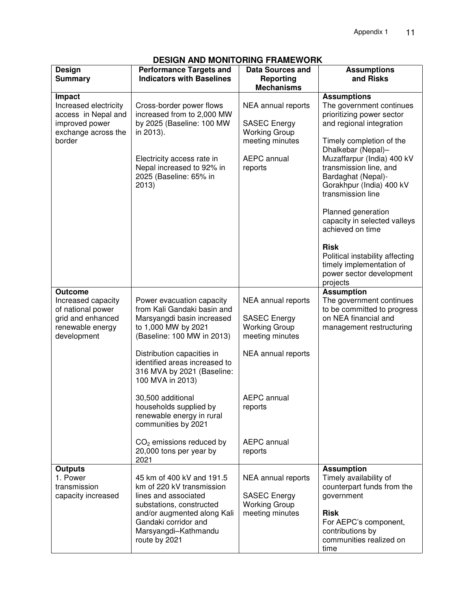# **DESIGN AND MONITORING FRAMEWORK**

| <b>Design</b><br><b>Summary</b>                                                                                  | <b>Performance Targets and</b><br><b>Indicators with Baselines</b>                                                                          | <b>Data Sources and</b><br><b>Reporting</b><br><b>Mechanisms</b>                                           | <b>Assumptions</b><br>and Risks                                                                                                                                                         |
|------------------------------------------------------------------------------------------------------------------|---------------------------------------------------------------------------------------------------------------------------------------------|------------------------------------------------------------------------------------------------------------|-----------------------------------------------------------------------------------------------------------------------------------------------------------------------------------------|
| <b>Impact</b><br>Increased electricity<br>access in Nepal and<br>improved power<br>exchange across the<br>border | Cross-border power flows<br>increased from to 2,000 MW<br>by 2025 (Baseline: 100 MW<br>in 2013).<br>Electricity access rate in              | NEA annual reports<br><b>SASEC Energy</b><br><b>Working Group</b><br>meeting minutes<br><b>AEPC</b> annual | <b>Assumptions</b><br>The government continues<br>prioritizing power sector<br>and regional integration<br>Timely completion of the<br>Dhalkebar (Nepal)-<br>Muzaffarpur (India) 400 kV |
|                                                                                                                  | Nepal increased to 92% in<br>2025 (Baseline: 65% in<br>2013)                                                                                | reports                                                                                                    | transmission line, and<br>Bardaghat (Nepal)-<br>Gorakhpur (India) 400 kV<br>transmission line                                                                                           |
|                                                                                                                  |                                                                                                                                             |                                                                                                            | Planned generation<br>capacity in selected valleys<br>achieved on time                                                                                                                  |
|                                                                                                                  |                                                                                                                                             |                                                                                                            | <b>Risk</b><br>Political instability affecting<br>timely implementation of<br>power sector development<br>projects                                                                      |
| <b>Outcome</b>                                                                                                   |                                                                                                                                             |                                                                                                            | <b>Assumption</b>                                                                                                                                                                       |
| Increased capacity<br>of national power<br>grid and enhanced<br>renewable energy<br>development                  | Power evacuation capacity<br>from Kali Gandaki basin and<br>Marsyangdi basin increased<br>to 1,000 MW by 2021<br>(Baseline: 100 MW in 2013) | NEA annual reports<br><b>SASEC Energy</b><br><b>Working Group</b><br>meeting minutes                       | The government continues<br>to be committed to progress<br>on NEA financial and<br>management restructuring                                                                             |
|                                                                                                                  | Distribution capacities in<br>identified areas increased to<br>316 MVA by 2021 (Baseline:<br>100 MVA in 2013)                               | NEA annual reports                                                                                         |                                                                                                                                                                                         |
|                                                                                                                  | 30,500 additional<br>households supplied by<br>renewable energy in rural<br>communities by 2021                                             | <b>AEPC</b> annual<br>reports                                                                              |                                                                                                                                                                                         |
|                                                                                                                  | $CO2$ emissions reduced by<br>20,000 tons per year by<br>2021                                                                               | <b>AEPC</b> annual<br>reports                                                                              |                                                                                                                                                                                         |
| <b>Outputs</b><br>1. Power                                                                                       | 45 km of 400 kV and 191.5                                                                                                                   | NEA annual reports                                                                                         | <b>Assumption</b><br>Timely availability of                                                                                                                                             |
| transmission                                                                                                     | km of 220 kV transmission                                                                                                                   |                                                                                                            | counterpart funds from the                                                                                                                                                              |
| capacity increased                                                                                               | lines and associated<br>substations, constructed                                                                                            | <b>SASEC Energy</b><br><b>Working Group</b>                                                                | government                                                                                                                                                                              |
|                                                                                                                  | and/or augmented along Kali<br>Gandaki corridor and<br>Marsyangdi-Kathmandu<br>route by 2021                                                | meeting minutes                                                                                            | <b>Risk</b><br>For AEPC's component,<br>contributions by<br>communities realized on<br>time                                                                                             |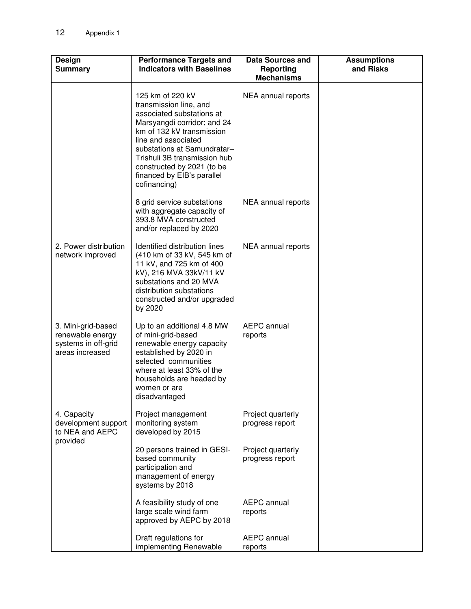| <b>Design</b><br><b>Summary</b>                                                  | <b>Performance Targets and</b><br><b>Indicators with Baselines</b>                                                                                                                                                                                                                                    | Data Sources and<br>Reporting<br><b>Mechanisms</b> | <b>Assumptions</b><br>and Risks |
|----------------------------------------------------------------------------------|-------------------------------------------------------------------------------------------------------------------------------------------------------------------------------------------------------------------------------------------------------------------------------------------------------|----------------------------------------------------|---------------------------------|
|                                                                                  | 125 km of 220 kV<br>transmission line, and<br>associated substations at<br>Marsyangdi corridor; and 24<br>km of 132 kV transmission<br>line and associated<br>substations at Samundratar-<br>Trishuli 3B transmission hub<br>constructed by 2021 (to be<br>financed by EIB's parallel<br>cofinancing) | NEA annual reports                                 |                                 |
|                                                                                  | 8 grid service substations<br>with aggregate capacity of<br>393.8 MVA constructed<br>and/or replaced by 2020                                                                                                                                                                                          | NEA annual reports                                 |                                 |
| 2. Power distribution<br>network improved                                        | Identified distribution lines<br>(410 km of 33 kV, 545 km of<br>11 kV, and 725 km of 400<br>kV), 216 MVA 33kV/11 kV<br>substations and 20 MVA<br>distribution substations<br>constructed and/or upgraded<br>by 2020                                                                                   | NEA annual reports                                 |                                 |
| 3. Mini-grid-based<br>renewable energy<br>systems in off-grid<br>areas increased | Up to an additional 4.8 MW<br>of mini-grid-based<br>renewable energy capacity<br>established by 2020 in<br>selected communities<br>where at least 33% of the<br>households are headed by<br>women or are<br>disadvantaged                                                                             | <b>AEPC</b> annual<br>reports                      |                                 |
| 4. Capacity<br>development support<br>to NEA and AEPC<br>provided                | Project management<br>monitoring system<br>developed by 2015                                                                                                                                                                                                                                          | Project quarterly<br>progress report               |                                 |
|                                                                                  | 20 persons trained in GESI-<br>based community<br>participation and<br>management of energy<br>systems by 2018                                                                                                                                                                                        | Project quarterly<br>progress report               |                                 |
|                                                                                  | A feasibility study of one<br>large scale wind farm<br>approved by AEPC by 2018                                                                                                                                                                                                                       | <b>AEPC</b> annual<br>reports                      |                                 |
|                                                                                  | Draft regulations for<br>implementing Renewable                                                                                                                                                                                                                                                       | <b>AEPC</b> annual<br>reports                      |                                 |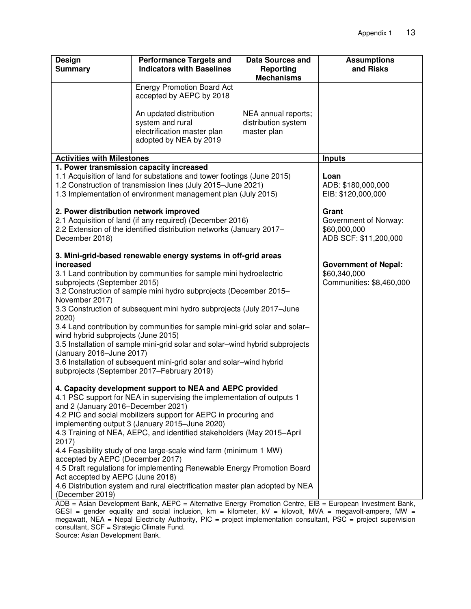| <b>Design</b><br><b>Summary</b>                                                                                                                                                                                                                                                                                                                                                                                                                                                                                                                                                                                                                                                                                  | <b>Performance Targets and</b><br><b>Indicators with Baselines</b>                                   | Data Sources and<br>Reporting<br><b>Mechanisms</b>        | <b>Assumptions</b><br>and Risks                                         |
|------------------------------------------------------------------------------------------------------------------------------------------------------------------------------------------------------------------------------------------------------------------------------------------------------------------------------------------------------------------------------------------------------------------------------------------------------------------------------------------------------------------------------------------------------------------------------------------------------------------------------------------------------------------------------------------------------------------|------------------------------------------------------------------------------------------------------|-----------------------------------------------------------|-------------------------------------------------------------------------|
|                                                                                                                                                                                                                                                                                                                                                                                                                                                                                                                                                                                                                                                                                                                  | <b>Energy Promotion Board Act</b><br>accepted by AEPC by 2018                                        |                                                           |                                                                         |
|                                                                                                                                                                                                                                                                                                                                                                                                                                                                                                                                                                                                                                                                                                                  | An updated distribution<br>system and rural<br>electrification master plan<br>adopted by NEA by 2019 | NEA annual reports;<br>distribution system<br>master plan |                                                                         |
| <b>Activities with Milestones</b>                                                                                                                                                                                                                                                                                                                                                                                                                                                                                                                                                                                                                                                                                |                                                                                                      |                                                           | <b>Inputs</b>                                                           |
| 1. Power transmission capacity increased<br>1.1 Acquisition of land for substations and tower footings (June 2015)<br>1.2 Construction of transmission lines (July 2015-June 2021)<br>1.3 Implementation of environment management plan (July 2015)                                                                                                                                                                                                                                                                                                                                                                                                                                                              |                                                                                                      |                                                           | Loan<br>ADB: \$180,000,000<br>EIB: \$120,000,000                        |
| 2. Power distribution network improved<br>2.1 Acquisition of land (if any required) (December 2016)<br>2.2 Extension of the identified distribution networks (January 2017-<br>December 2018)                                                                                                                                                                                                                                                                                                                                                                                                                                                                                                                    |                                                                                                      |                                                           | Grant<br>Government of Norway:<br>\$60,000,000<br>ADB SCF: \$11,200,000 |
| 3. Mini-grid-based renewable energy systems in off-grid areas<br>increased<br>3.1 Land contribution by communities for sample mini hydroelectric<br>subprojects (September 2015)<br>3.2 Construction of sample mini hydro subprojects (December 2015-<br>November 2017)<br>3.3 Construction of subsequent mini hydro subprojects (July 2017-June<br>2020)<br>3.4 Land contribution by communities for sample mini-grid solar and solar-<br>wind hybrid subprojects (June 2015)<br>3.5 Installation of sample mini-grid solar and solar-wind hybrid subprojects<br>(January 2016-June 2017)<br>3.6 Installation of subsequent mini-grid solar and solar-wind hybrid<br>subprojects (September 2017–February 2019) |                                                                                                      |                                                           | <b>Government of Nepal:</b><br>\$60,340,000<br>Communities: \$8,460,000 |
| 4. Capacity development support to NEA and AEPC provided<br>4.1 PSC support for NEA in supervising the implementation of outputs 1<br>and 2 (January 2016–December 2021)<br>4.2 PIC and social mobilizers support for AEPC in procuring and<br>implementing output 3 (January 2015-June 2020)<br>4.3 Training of NEA, AEPC, and identified stakeholders (May 2015-April<br>2017)<br>4.4 Feasibility study of one large-scale wind farm (minimum 1 MW)<br>accepted by AEPC (December 2017)<br>4.5 Draft regulations for implementing Renewable Energy Promotion Board<br>Act accepted by AEPC (June 2018)<br>4.6 Distribution system and rural electrification master plan adopted by NEA<br>(December 2019)      |                                                                                                      |                                                           |                                                                         |

ADB = Asian Development Bank, AEPC = Alternative Energy Promotion Centre, EIB = European Investment Bank, GESI = gender equality and social inclusion, km = kilometer, kV = kilovolt, MVA = megavolt-ampere, MW = megawatt, NEA = Nepal Electricity Authority, PIC = project implementation consultant, PSC = project supervision consultant, SCF = Strategic Climate Fund.

Source: Asian Development Bank.